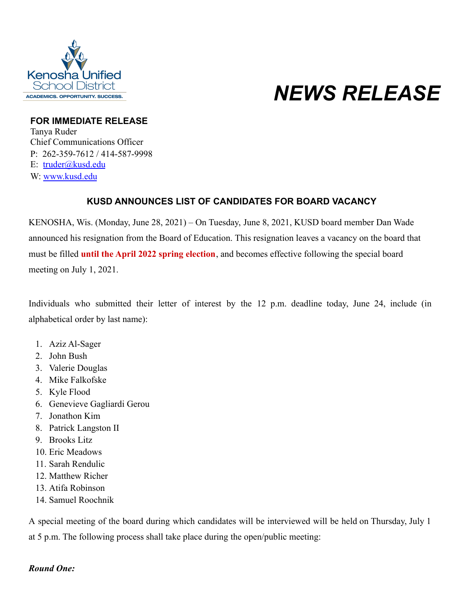

# *NEWS RELEASE*

#### **FOR IMMEDIATE RELEASE**

Tanya Ruder Chief Communications Officer P: 262-359-7612 / 414-587-9998 E: [truder@kusd.edu](mailto:truder@kusd.edu) W: [www.kusd.edu](http://www.kusd.edu/)

## **KUSD ANNOUNCES LIST OF CANDIDATES FOR BOARD VACANCY**

KENOSHA, Wis. (Monday, June 28, 2021) – On Tuesday, June 8, 2021, KUSD board member Dan Wade announced his resignation from the Board of Education. This resignation leaves a vacancy on the board that must be filled **until the April 2022 spring election**, and becomes effective following the special board meeting on July 1, 2021.

Individuals who submitted their letter of interest by the 12 p.m. deadline today, June 24, include (in alphabetical order by last name):

- 1. Aziz Al-Sager
- 2. John Bush
- 3. Valerie Douglas
- 4. Mike Falkofske
- 5. Kyle Flood
- 6. Genevieve Gagliardi Gerou
- 7. Jonathon Kim
- 8. Patrick Langston II
- 9. Brooks Litz
- 10. Eric Meadows
- 11. Sarah Rendulic
- 12. Matthew Richer
- 13. Atifa Robinson
- 14. Samuel Roochnik

A special meeting of the board during which candidates will be interviewed will be held on Thursday, July 1 at 5 p.m. The following process shall take place during the open/public meeting:

### *Round One:*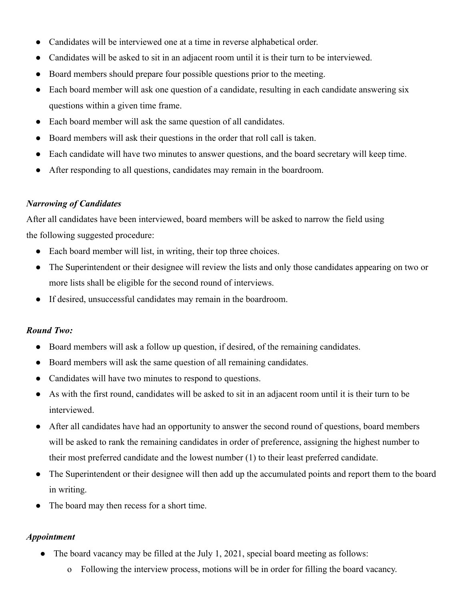- Candidates will be interviewed one at a time in reverse alphabetical order.
- Candidates will be asked to sit in an adjacent room until it is their turn to be interviewed.
- Board members should prepare four possible questions prior to the meeting.
- Each board member will ask one question of a candidate, resulting in each candidate answering six questions within a given time frame.
- Each board member will ask the same question of all candidates.
- Board members will ask their questions in the order that roll call is taken.
- Each candidate will have two minutes to answer questions, and the board secretary will keep time.
- After responding to all questions, candidates may remain in the boardroom.

### *Narrowing of Candidates*

After all candidates have been interviewed, board members will be asked to narrow the field using the following suggested procedure:

- Each board member will list, in writing, their top three choices.
- The Superintendent or their designee will review the lists and only those candidates appearing on two or more lists shall be eligible for the second round of interviews.
- If desired, unsuccessful candidates may remain in the boardroom.

### *Round Two:*

- Board members will ask a follow up question, if desired, of the remaining candidates.
- Board members will ask the same question of all remaining candidates.
- Candidates will have two minutes to respond to questions.
- As with the first round, candidates will be asked to sit in an adjacent room until it is their turn to be interviewed.
- After all candidates have had an opportunity to answer the second round of questions, board members will be asked to rank the remaining candidates in order of preference, assigning the highest number to their most preferred candidate and the lowest number (1) to their least preferred candidate.
- The Superintendent or their designee will then add up the accumulated points and report them to the board in writing.
- The board may then recess for a short time.

### *Appointment*

- The board vacancy may be filled at the July 1, 2021, special board meeting as follows:
	- o Following the interview process, motions will be in order for filling the board vacancy.